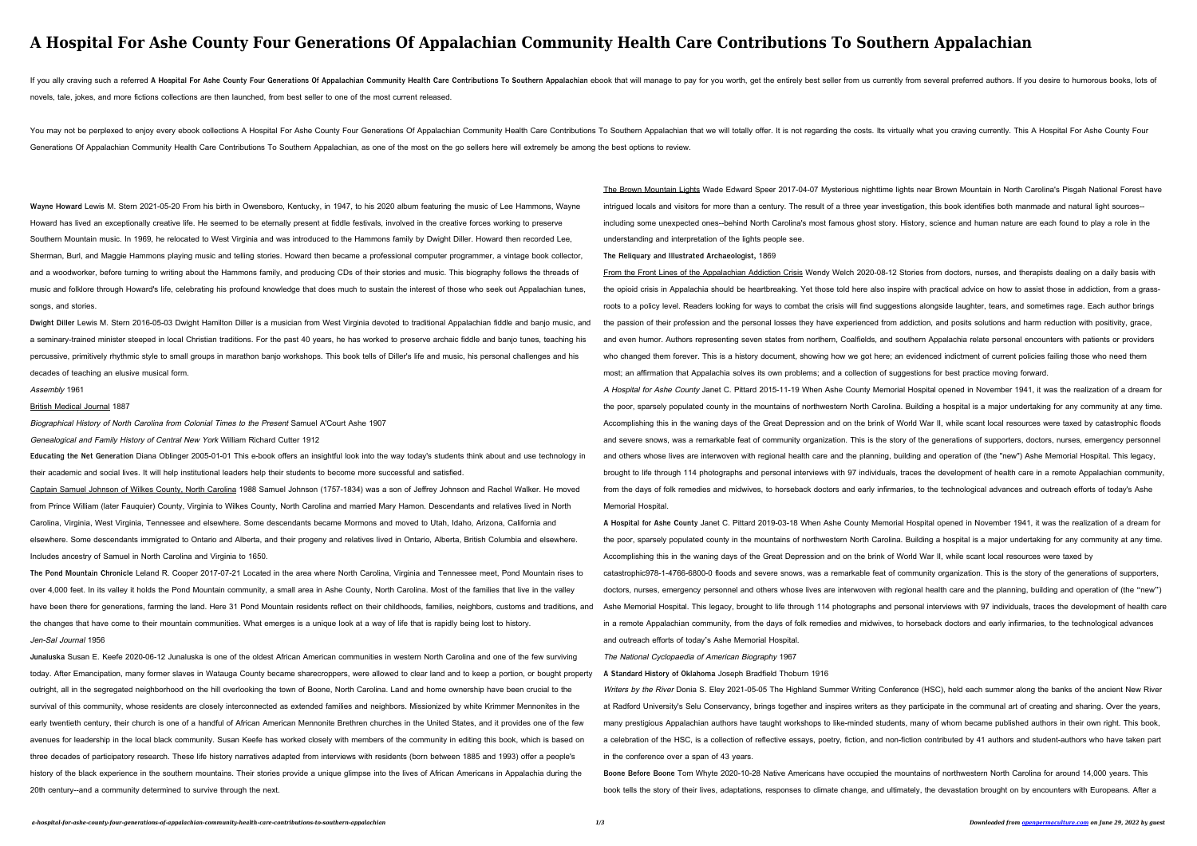# **A Hospital For Ashe County Four Generations Of Appalachian Community Health Care Contributions To Southern Appalachian**

If you ally craving such a referred A Hospital For Ashe County Four Generations Of Appalachian Community Health Care Contributions To Southern Appalachian ebook that will manage to pay for you worth, get the entirely best novels, tale, jokes, and more fictions collections are then launched, from best seller to one of the most current released.

You may not be perplexed to enjoy every ebook collections A Hospital For Ashe County Four Generations Of Appalachian Community Health Care Contributions To Southern Appalachian that we will totally offer. It is not regardi Generations Of Appalachian Community Health Care Contributions To Southern Appalachian, as one of the most on the go sellers here will extremely be among the best options to review.

**Wayne Howard** Lewis M. Stern 2021-05-20 From his birth in Owensboro, Kentucky, in 1947, to his 2020 album featuring the music of Lee Hammons, Wayne Howard has lived an exceptionally creative life. He seemed to be eternally present at fiddle festivals, involved in the creative forces working to preserve Southern Mountain music. In 1969, he relocated to West Virginia and was introduced to the Hammons family by Dwight Diller. Howard then recorded Lee, Sherman, Burl, and Maggie Hammons playing music and telling stories. Howard then became a professional computer programmer, a vintage book collector, and a woodworker, before turning to writing about the Hammons family, and producing CDs of their stories and music. This biography follows the threads of music and folklore through Howard's life, celebrating his profound knowledge that does much to sustain the interest of those who seek out Appalachian tunes, songs, and stories.

**Dwight Diller** Lewis M. Stern 2016-05-03 Dwight Hamilton Diller is a musician from West Virginia devoted to traditional Appalachian fiddle and banjo music, and a seminary-trained minister steeped in local Christian traditions. For the past 40 years, he has worked to preserve archaic fiddle and banjo tunes, teaching his percussive, primitively rhythmic style to small groups in marathon banjo workshops. This book tells of Diller's life and music, his personal challenges and his decades of teaching an elusive musical form.

Assembly 1961

British Medical Journal 1887

Biographical History of North Carolina from Colonial Times to the Present Samuel A'Court Ashe 1907

Genealogical and Family History of Central New York William Richard Cutter 1912

**Educating the Net Generation** Diana Oblinger 2005-01-01 This e-book offers an insightful look into the way today's students think about and use technology in their academic and social lives. It will help institutional leaders help their students to become more successful and satisfied.

Captain Samuel Johnson of Wilkes County, North Carolina 1988 Samuel Johnson (1757-1834) was a son of Jeffrey Johnson and Rachel Walker. He moved from Prince William (later Fauquier) County, Virginia to Wilkes County, North Carolina and married Mary Hamon. Descendants and relatives lived in North Carolina, Virginia, West Virginia, Tennessee and elsewhere. Some descendants became Mormons and moved to Utah, Idaho, Arizona, California and elsewhere. Some descendants immigrated to Ontario and Alberta, and their progeny and relatives lived in Ontario, Alberta, British Columbia and elsewhere. Includes ancestry of Samuel in North Carolina and Virginia to 1650.

**The Pond Mountain Chronicle** Leland R. Cooper 2017-07-21 Located in the area where North Carolina, Virginia and Tennessee meet, Pond Mountain rises to over 4,000 feet. In its valley it holds the Pond Mountain community, a small area in Ashe County, North Carolina. Most of the families that live in the valley have been there for generations, farming the land. Here 31 Pond Mountain residents reflect on their childhoods, families, neighbors, customs and traditions, and the changes that have come to their mountain communities. What emerges is a unique look at a way of life that is rapidly being lost to history. Jen-Sal Journal 1956

**Junaluska** Susan E. Keefe 2020-06-12 Junaluska is one of the oldest African American communities in western North Carolina and one of the few surviving today. After Emancipation, many former slaves in Watauga County became sharecroppers, were allowed to clear land and to keep a portion, or bought property outright, all in the segregated neighborhood on the hill overlooking the town of Boone, North Carolina. Land and home ownership have been crucial to the survival of this community, whose residents are closely interconnected as extended families and neighbors. Missionized by white Krimmer Mennonites in the early twentieth century, their church is one of a handful of African American Mennonite Brethren churches in the United States, and it provides one of the few avenues for leadership in the local black community. Susan Keefe has worked closely with members of the community in editing this book, which is based on three decades of participatory research. These life history narratives adapted from interviews with residents (born between 1885 and 1993) offer a people's history of the black experience in the southern mountains. Their stories provide a unique glimpse into the lives of African Americans in Appalachia during the 20th century--and a community determined to survive through the next.

Writers by the River Donia S. Eley 2021-05-05 The Highland Summer Writing Conference (HSC), held each summer along the banks of the ancient New River at Radford University's Selu Conservancy, brings together and inspires writers as they participate in the communal art of creating and sharing. Over the years, many prestigious Appalachian authors have taught workshops to like-minded students, many of whom became published authors in their own right. This book, a celebration of the HSC, is a collection of reflective essays, poetry, fiction, and non-fiction contributed by 41 authors and student-authors who have taken part in the conference over a span of 43 years.

The Brown Mountain Lights Wade Edward Speer 2017-04-07 Mysterious nighttime lights near Brown Mountain in North Carolina's Pisgah National Forest have intrigued locals and visitors for more than a century. The result of a three year investigation, this book identifies both manmade and natural light sources- including some unexpected ones--behind North Carolina's most famous ghost story. History, science and human nature are each found to play a role in the understanding and interpretation of the lights people see.

**The Reliquary and Illustrated Archaeologist,** 1869

From the Front Lines of the Appalachian Addiction Crisis Wendy Welch 2020-08-12 Stories from doctors, nurses, and therapists dealing on a daily basis with the opioid crisis in Appalachia should be heartbreaking. Yet those told here also inspire with practical advice on how to assist those in addiction, from a grassroots to a policy level. Readers looking for ways to combat the crisis will find suggestions alongside laughter, tears, and sometimes rage. Each author brings the passion of their profession and the personal losses they have experienced from addiction, and posits solutions and harm reduction with positivity, grace, and even humor. Authors representing seven states from northern, Coalfields, and southern Appalachia relate personal encounters with patients or providers who changed them forever. This is a history document, showing how we got here; an evidenced indictment of current policies failing those who need them most; an affirmation that Appalachia solves its own problems; and a collection of suggestions for best practice moving forward.

A Hospital for Ashe County Janet C. Pittard 2015-11-19 When Ashe County Memorial Hospital opened in November 1941, it was the realization of a dream for the poor, sparsely populated county in the mountains of northwestern North Carolina. Building a hospital is a major undertaking for any community at any time. Accomplishing this in the waning days of the Great Depression and on the brink of World War II, while scant local resources were taxed by catastrophic floods and severe snows, was a remarkable feat of community organization. This is the story of the generations of supporters, doctors, nurses, emergency personnel and others whose lives are interwoven with regional health care and the planning, building and operation of (the "new") Ashe Memorial Hospital. This legacy, brought to life through 114 photographs and personal interviews with 97 individuals, traces the development of health care in a remote Appalachian community, from the days of folk remedies and midwives, to horseback doctors and early infirmaries, to the technological advances and outreach efforts of today's Ashe

Memorial Hospital.

**A Hospital for Ashe County** Janet C. Pittard 2019-03-18 When Ashe County Memorial Hospital opened in November 1941, it was the realization of a dream for the poor, sparsely populated county in the mountains of northwestern North Carolina. Building a hospital is a major undertaking for any community at any time. Accomplishing this in the waning days of the Great Depression and on the brink of World War II, while scant local resources were taxed by

catastrophic978-1-4766-6800-0 floods and severe snows, was a remarkable feat of community organization. This is the story of the generations of supporters, doctors, nurses, emergency personnel and others whose lives are interwoven with regional health care and the planning, building and operation of (the "new") Ashe Memorial Hospital. This legacy, brought to life through 114 photographs and personal interviews with 97 individuals, traces the development of health care in a remote Appalachian community, from the days of folk remedies and midwives, to horseback doctors and early infirmaries, to the technological advances and outreach efforts of today's Ashe Memorial Hospital.

The National Cyclopaedia of American Biography 1967

**A Standard History of Oklahoma** Joseph Bradfield Thoburn 1916

**Boone Before Boone** Tom Whyte 2020-10-28 Native Americans have occupied the mountains of northwestern North Carolina for around 14,000 years. This book tells the story of their lives, adaptations, responses to climate change, and ultimately, the devastation brought on by encounters with Europeans. After a